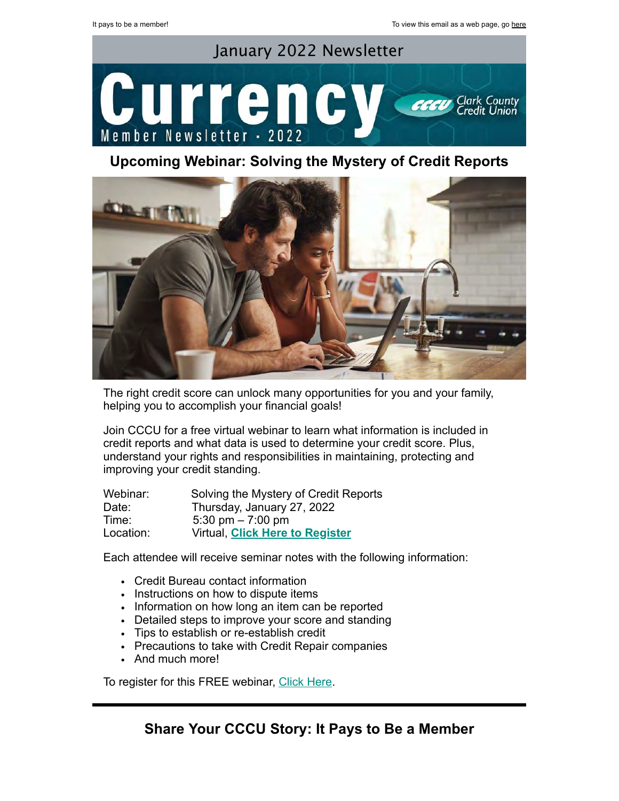

**Upcoming Webinar: Solving the Mystery of Credit Reports**



The right credit score can unlock many opportunities for you and your family, helping you to accomplish your financial goals!

Join CCCU for a free virtual webinar to learn what information is included in credit reports and what data is used to determine your credit score. Plus, understand your rights and responsibilities in maintaining, protecting and improving your credit standing.

| Webinar:  | Solving the Mystery of Credit Reports |
|-----------|---------------------------------------|
| Date:     | Thursday, January 27, 2022            |
| Time:     | 5:30 pm $-7:00$ pm                    |
| Location: | Virtual, Click Here to Register       |

Each attendee will receive seminar notes with the following information:

- Credit Bureau contact information
- Instructions on how to dispute items
- Information on how long an item can be reported
- Detailed steps to improve your score and standing
- Tips to establish or re-establish credit
- Precautions to take with Credit Repair companies
- And much more!

To register for this FREE webinar, [Click Here.](https://campaign.documatix.com/DPS/Events/Registration?GUID=sctORlhPRUmVisnXhtFXIA)

#### **Share Your CCCU Story: It Pays to Be a Member**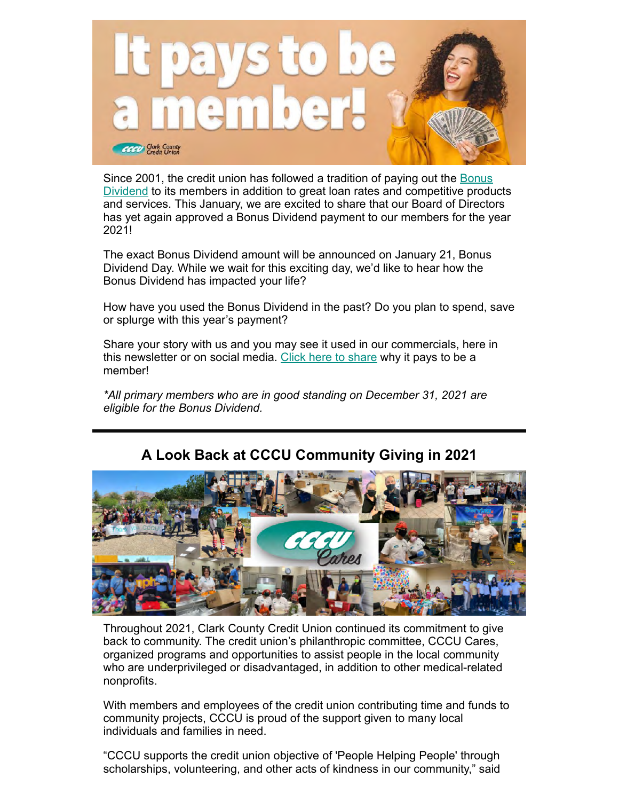

[Since 2001, the credit union has followed a tradition of paying out the Bonus](https://www.ccculv.org/Your-Bonus-Dividend.aspx) Dividend to its members in addition to great loan rates and competitive products and services. This January, we are excited to share that our Board of Directors has yet again approved a Bonus Dividend payment to our members for the year 2021!

The exact Bonus Dividend amount will be announced on January 21, Bonus Dividend Day. While we wait for this exciting day, we'd like to hear how the Bonus Dividend has impacted your life?

How have you used the Bonus Dividend in the past? Do you plan to spend, save or splurge with this year's payment?

Share your story with us and you may see it used in our commercials, here in this newsletter or on social media. [Click here to share](https://campaign.documatix.com/DM/DPS/Surveys/Survey/C10603ED129FFD64) why it pays to be a member!

*\*All primary members who are in good standing on December 31, 2021 are eligible for the Bonus Dividend.*

## **A Look Back at CCCU Community Giving in 2021**



Throughout 2021, Clark County Credit Union continued its commitment to give back to community. The credit union's philanthropic committee, CCCU Cares, organized programs and opportunities to assist people in the local community who are underprivileged or disadvantaged, in addition to other medical-related nonprofits.

With members and employees of the credit union contributing time and funds to community projects, CCCU is proud of the support given to many local individuals and families in need.

"CCCU supports the credit union objective of 'People Helping People' through scholarships, volunteering, and other acts of kindness in our community," said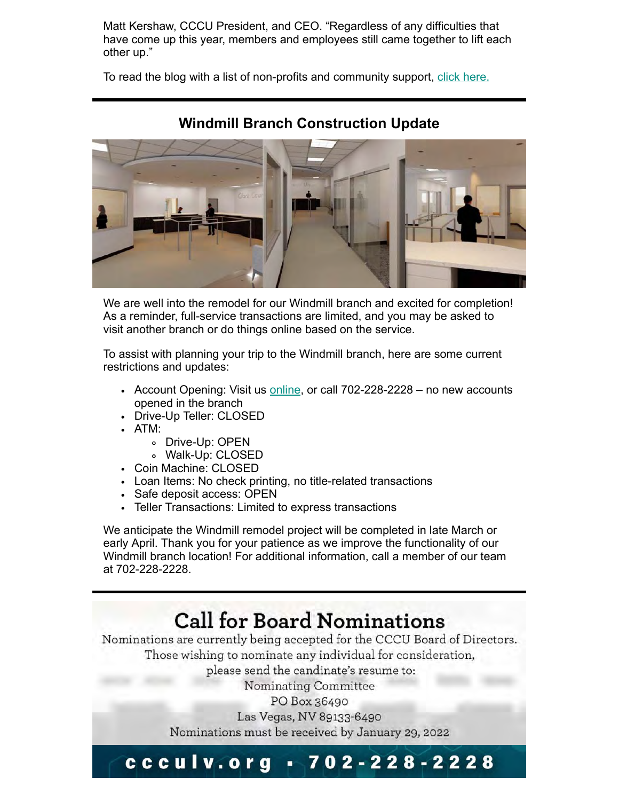Matt Kershaw, CCCU President, and CEO. "Regardless of any difficulties that have come up this year, members and employees still came together to lift each other up."

To read the blog with a list of non-profits and community support, [click here.](http://ccculv.org/CustomContent.aspx?Name=CCCU%202021:%20A%20Year%20of%20Giving%20Back)

### **Windmill Branch Construction Update**



We are well into the remodel for our Windmill branch and excited for completion! As a reminder, full-service transactions are limited, and you may be asked to visit another branch or do things online based on the service.

To assist with planning your trip to the Windmill branch, here are some current restrictions and updates:

- Account Opening: Visit us [online](https://www.ccculv.org/New-Account.aspx), or call  $702-228-2228$  no new accounts opened in the branch
- Drive-Up Teller: CLOSED
- ATM:
	- Drive-Up: OPEN
	- Walk-Up: CLOSED
- Coin Machine: CLOSED
- Loan Items: No check printing, no title-related transactions
- Safe deposit access: OPEN
- Teller Transactions: Limited to express transactions

We anticipate the Windmill remodel project will be completed in late March or early April. Thank you for your patience as we improve the functionality of our Windmill branch location! For additional information, call a member of our team at 702-228-2228.

# **Call for Board Nominations**

Nominations are currently being accepted for the CCCU Board of Directors.

Those wishing to nominate any individual for consideration,

please send the candinate's resume to:

Nominating Committee

PO Box 36490

Las Vegas, NV 89133-6490 Nominations must be received by January 29, 2022

#### ccculv.org . 702-228-2228